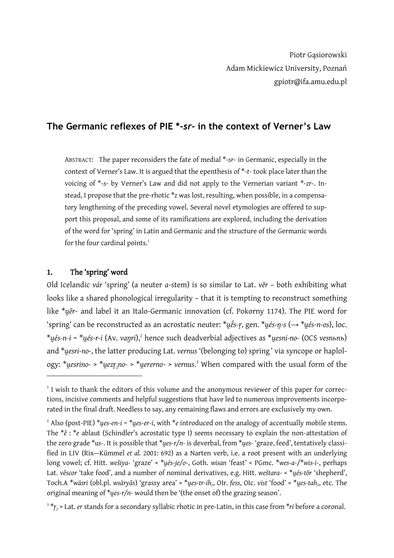# **The Germanic reflexes of PIE \****-sr-* **in the context of Verner's Law**

ABSTRACT: The paper reconsiders the fate of medial \*-*sr*- in Germanic, especially in the context of Verner's Law. It is argued that the epenthesis of \*-t- took place later than the voicing of \*-s- by Verner's Law and did not apply to the Vernerian variant \*-zr-. Instead, I propose that the pre-rhotic \**z* was lost, resulting, when possible, in a compensatory lengthening of the preceding vowel. Several novel etymologies are offered to support this proposal, and some of its ramifications are explored, including the derivation of the word for 'spring' in Latin and Germanic and the structure of the Germanic words for the four cardinal points.<sup>1</sup>

## 1. The 'spring' word

<u>.</u>

Old Icelandic *vár* 'spring' (a neuter *a*-stem) is so similar to Lat. *v* $\bar{e}$ r – both exhibiting what looks like a shared phonological irregularity – that it is tempting to reconstruct something like \**u̯ēr*- and label it an Italo-Germanic innovation (cf. Pokorny 1174). The PIE word for ―spring‖ can be reconstructed as an acrostatic neuter: \**u̯ḗs-r̥*, gen. \**u̯és-n̥-s* (→ \**u̯és-n-os*), loc. \**u̯és-n-i* ~ \**u̯és-r-i* (Av. *vaŋri*),<sup>2</sup> hence such deadverbial adjectives as \**u̯esni-no-* (OCS *vesnьnъ*) and \*u̯esri-no-, the latter producing Lat. *vernus* '(belonging to) spring' via syncope or haplology: \**u̯esrino-* > \**u̯ezr̥ <sup>2</sup>no-* > \**u̯ererno*- > *vernus*. <sup>3</sup> When compared with the usual form of the

<sup>&</sup>lt;sup>1</sup> I wish to thank the editors of this volume and the anonymous reviewer of this paper for corrections, incisive comments and helpful suggestions that have led to numerous improvements incorporated in the final draft. Needless to say, any remaining flaws and errors are exclusively my own.

 $^{2}$  Also (post-PIE) \**ues-en-i* ~ \**ues-er-i*, with \**e* introduced on the analogy of accentually mobile stems. The  $*_e$ :  $*_e$  ablaut (Schindler's acrostatic type I) seems necessary to explain the non-attestation of the zero grade \*us-. It is possible that \*ues-r/n- is deverbal, from \*ues- 'graze, feed', tentatively classified in LIV (Rix—Kümmel *et al.* 2001: 692) as a Narten verb, i.e. a root present with an underlying long vowel; cf. Hitt. *wešiya-* 'graze' < \*ues-ie/o-, Goth. *wisan* 'feast' < PGmc. \*wes-a-/\*wis-i-, perhaps Lat. *vēscor* 'take food', and a number of nominal derivatives, e.g. Hitt. *weštara- < \*ués-tōr* 'shepherd', Toch.A \**wäsri* (obl.pl. *wsäryās*) ―grassy area‖ < \**u̯es-tr-ih<sup>2</sup>* , OIr. *fess*, OIc. *vist* ―food‖ < \**u̯es-tah<sup>2</sup>* , etc. The original meaning of \**ues-r/n*- would then be '(the onset of) the grazing season'.

<sup>3</sup> \**r̥ <sup>2</sup>* > Lat. *er* stands for a secondary syllabic rhotic in pre-Latin, in this case from \**ri* before a coronal.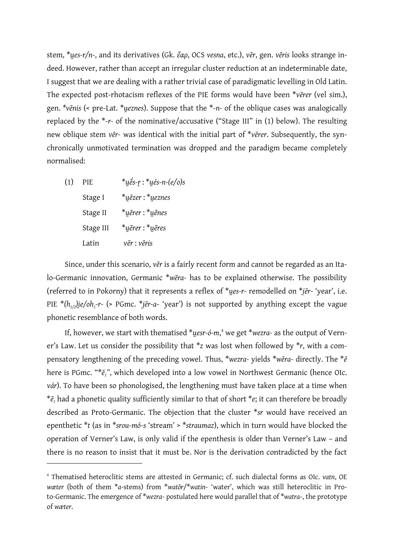stem, \**u̯es-r/n-*, and its derivatives (Gk. *ἔαρ*, OCS *vesna*, etc.), *vēr*, gen. *vēris* looks strange indeed. However, rather than accept an irregular cluster reduction at an indeterminable date, I suggest that we are dealing with a rather trivial case of paradigmatic levelling in Old Latin. The expected post-rhotacism reflexes of the PIE forms would have been \**vērer* (vel sim.), gen. *\*vēnis* (< pre-Lat. \**u̯eznes*). Suppose that the \*-*n-* of the oblique cases was analogically replaced by the \*-*r-* of the nominative/accusative ("Stage III" in (1) below). The resulting new oblique stem *vēr-* was identical with the initial part of \**vērer*. Subsequently, the synchronically unmotivated termination was dropped and the paradigm became completely normalised:

(1) PIE \**u̯ḗs-r̥*: \**u̯és-n-(e/o)s* Stage I \**u̯ēzer* : \**u̯eznes* Stage II \**u̯ērer* : \**u̯ēnes* Stage III \**u̯ērer* : \**u̯ēres* Latin *vēr* : *vēris*

<u>.</u>

Since, under this scenario, *vēr* is a fairly recent form and cannot be regarded as an Italo-Germanic innovation, Germanic \**wēra-* has to be explained otherwise. The possibility (referred to in Pokorny) that it represents a reflex of \**ues-r-* remodelled on \**ier-* 'year', i.e. PIE \**(h1/2)i̯e/oh<sup>1</sup> -r-* (> PGmc. \**jēr-a*- ―year‖) is not supported by anything except the vague phonetic resemblance of both words.

If, however, we start with thematised \**u̯esr-ó-m*, <sup>4</sup> we get \**wezra-* as the output of Verner's Law. Let us consider the possibility that  $*$ z was lost when followed by  $*$ r, with a compensatory lengthening of the preceding vowel. Thus, \**wezra-* yields \**wēra-* directly. The \**ē* here is PGmc. "\**ē<sup>1</sup> "*, which developed into a low vowel in Northwest Germanic (hence OIc. *vár*). To have been so phonologised, the lengthening must have taken place at a time when  $*_{\bar{e}_1}$  had a phonetic quality sufficiently similar to that of short  $*e$ ; it can therefore be broadly described as Proto-Germanic. The objection that the cluster \**sr* would have received an epenthetic \**t* (as in \**srou-mó-s* 'stream' > \**straumaz*), which in turn would have blocked the operation of Verner's Law, is only valid if the epenthesis is older than Verner's Law - and there is no reason to insist that it must be. Nor is the derivation contradicted by the fact

<sup>4</sup> Thematised heteroclitic stems are attested in Germanic; cf. such dialectal forms as OIc. *vatn*, OE *wæter* (both of them \**a*-stems) from \**watōr*/\**watin*- 'water', which was still heteroclitic in Proto-Germanic. The emergence of \**wezra*- postulated here would parallel that of \**watra*-, the prototype of *wæter*.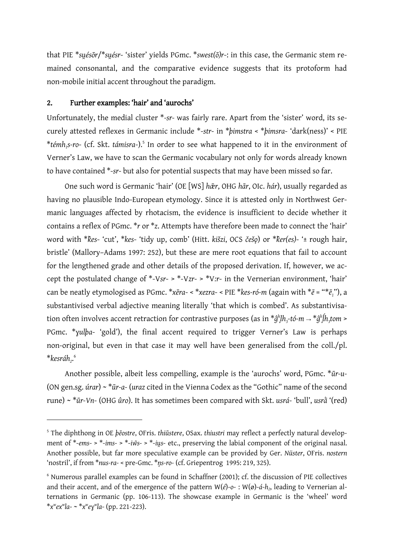that PIE \*suésōr/\*suésr- 'sister' yields PGmc. \*swest(ō)r-: in this case, the Germanic stem remained consonantal, and the comparative evidence suggests that its protoform had non-mobile initial accent throughout the paradigm.

#### 2. Further examples: 'hair' and 'aurochs'

<u>.</u>

Unfortunately, the medial cluster \*-sr- was fairly rare. Apart from the 'sister' word, its securely attested reflexes in Germanic include \*-str- in \*bimstra < \*bimsra- 'dark(ness)' < PIE \**témh<sup>1</sup> s-ro*- (cf. Skt. *támisra*-).<sup>5</sup> In order to see what happened to it in the environment of Verner's Law, we have to scan the Germanic vocabulary not only for words already known to have contained \*-*sr*- but also for potential suspects that may have been missed so far.

One such word is Germanic 'hair' (OE [WS] *hār*, OHG *hār*, OIc. *hár*), usually regarded as having no plausible Indo-European etymology. Since it is attested only in Northwest Germanic languages affected by rhotacism, the evidence is insufficient to decide whether it contains a reflex of PGmc. \**r* or \**z*. Attempts have therefore been made to connect the 'hair' word with \* $\&$ es- 'cut', \* $\&$ es- 'tidy up, comb' (Hitt. *kišzi*, OCS *češ* $\phi$ ) or \* $\&$ er(es)- '± rough hair, bristle' (Mallory–Adams 1997: 252), but these are mere root equations that fail to account for the lengthened grade and other details of the proposed derivation. If, however, we accept the postulated change of  $*$ -V*sr*- >  $*$ -V*zr*- >  $*$ V*:r*- in the Vernerian environment, 'hair' can be neatly etymologised as PGmc. \**xēra*- < \**xezra*- < PIE \**kes-ró-m* (again with \**ē* = "\**ē1*"), a substantivised verbal adjective meaning literally 'that which is combed'. As substantivisation often involves accent retraction for contrastive purposes (as in \**ĝ h l̥h3 -tó-m* → \**ĝ h ĺ̥h3 tom* > PGmc. \**yulba-* 'gold'), the final accent required to trigger Verner's Law is perhaps non-original, but even in that case it may well have been generalised from the coll./pl. \*kesráh<sub>2</sub>.<sup>6</sup>

Another possible, albeit less compelling, example is the 'aurochs' word, PGmc. \**ūr-u-*(ON gen.sg. *úrar*) ~ \**ūr-a-* (*uraz* cited in the Vienna Codex as the "Gothic" name of the second rune) ~ \*ūr-Vn- (OHG ûro). It has sometimes been compared with Skt. *usrá*- 'bull', *usrá* '(red)

<sup>5</sup> The diphthong in OE *þēostre*, OFris. *thiūstere*, OSax. *thiustri* may reflect a perfectly natural development of \*-*ems*- > \*-*ims*- > \*-*iw͂s*- > \*-*iu̯s*- etc., preserving the labial component of the original nasal. Another possible, but far more speculative example can be provided by Ger. *Nüster*, OFris. *nostern* ―nostril‖, if from \**nus-ra-* < pre-Gmc. \**n̥s-ro-* (cf. Griepentrog 1995: 219, 325).

<sup>6</sup> Numerous parallel examples can be found in Schaffner (2001); cf. the discussion of PIE collectives and their accent, and of the emergence of the pattern W(*é*)-*o*- : W(ø)-*á*-*h<sup>2</sup>* , leading to Vernerian alternations in Germanic (pp. 106-113). The showcase example in Germanic is the 'wheel' word \**x w ex<sup>w</sup> la*- ~ \**x w eɣ w la*- (pp. 221-223).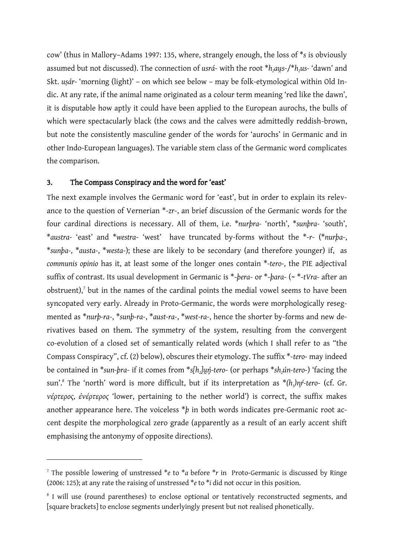cow‖ (thus in Mallory–Adams 1997: 135, where, strangely enough, the loss of \**s* is obviously assumed but not discussed). The connection of *usrá*- with the root \**h*<sub>2</sub>*aus*-/\**h*<sub>2</sub>*us*- 'dawn' and Skt. usár- 'morning (light)' - on which see below - may be folk-etymological within Old Indic. At any rate, if the animal name originated as a colour term meaning 'red like the dawn', it is disputable how aptly it could have been applied to the European aurochs, the bulls of which were spectacularly black (the cows and the calves were admittedly reddish-brown, but note the consistently masculine gender of the words for 'aurochs' in Germanic and in other Indo-European languages). The variable stem class of the Germanic word complicates the comparison.

## 3. The Compass Conspiracy and the word for 'east'

<u>.</u>

The next example involves the Germanic word for 'east', but in order to explain its relevance to the question of Vernerian \*-*zr*-, an brief discussion of the Germanic words for the four cardinal directions is necessary. All of them, i.e. \**nurbra-* 'north', \*sunbra- 'south', \**austra-* ―east‖ and \**westra*- ―west‖ have truncated by-forms without the \*-*r*- (\**nurþa-*, \**sunþa-*, \**austa-*, \**westa-*); these are likely to be secondary (and therefore younger) if, as *communis opinio* has it, at least some of the longer ones contain \**-tero-*, the PIE adjectival suffix of contrast. Its usual development in Germanic is \*-*þera*- or \*-*þara*- (~ \*-*tVra-* after an obstruent),<sup>7</sup> but in the names of the cardinal points the medial vowel seems to have been syncopated very early. Already in Proto-Germanic, the words were morphologically resegmented as \**nurþ-ra-*, \**sunþ-ra-*, \**aust-ra-*, \**west-ra-*, hence the shorter by-forms and new derivatives based on them. The symmetry of the system, resulting from the convergent co-evolution of a closed set of semantically related words (which I shall refer to as "the Compass Conspiracy", cf. (2) below), obscures their etymology. The suffix \*-*tero*- may indeed be contained in \**sun-þra-* if it comes from \**s[h<sup>2</sup> ]u̯ń̥-tero*- (or perhaps \**sh2ún-tero*-) ―facing the sun'.<sup>8</sup> The 'north' word is more difficult, but if its interpretation as  $*(h_i)$ n*ŕ*-tero- (cf. Gr. *νέρτερος, ἐνέρτερος* ―lower, pertaining to the nether world‖) is correct, the suffix makes another appearance here. The voiceless  $*$ *b* in both words indicates pre-Germanic root accent despite the morphological zero grade (apparently as a result of an early accent shift emphasising the antonymy of opposite directions).

<sup>7</sup> The possible lowering of unstressed \**e* to \**a* before \**r* in Proto-Germanic is discussed by Ringe (2006: 125); at any rate the raising of unstressed \**e* to \**i* did not occur in this position.

<sup>&</sup>lt;sup>8</sup> I will use (round parentheses) to enclose optional or tentatively reconstructed segments, and [square brackets] to enclose segments underlyingly present but not realised phonetically.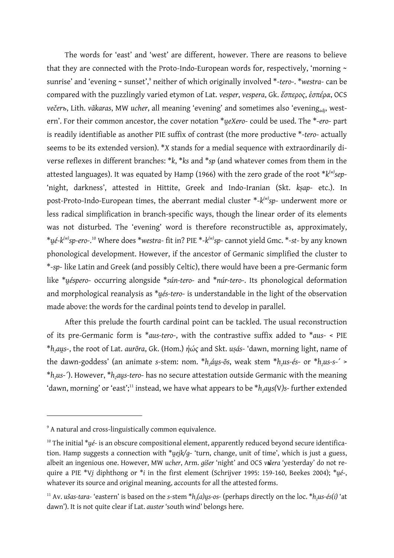The words for 'east' and 'west' are different, however. There are reasons to believe that they are connected with the Proto-Indo-European words for, respectively, 'morning  $\sim$ sunrise' and 'evening ~ sunset',<sup>9</sup> neither of which originally involved \*-tero-. \*westra- can be compared with the puzzlingly varied etymon of Lat. *vesper*, *vespera*, Gk. *ἕσπερος*, *ἑσπέρα*, OCS *večerъ*, Lith. *vãkaras*, MW *ucher*, all meaning 'evening' and sometimes also 'evening<sub>adi</sub>, western'. For their common ancestor, the cover notation \**ueXero*- could be used. The \*-*ero*- part is readily identifiable as another PIE suffix of contrast (the more productive \*-*tero*- actually seems to be its extended version). \**X* stands for a medial sequence with extraordinarily diverse reflexes in different branches: \**k*, \**ks* and \**sp* (and whatever comes from them in the attested languages). It was equated by Hamp (1966) with the zero grade of the root  $^{\ast}k^{\scriptscriptstyle(w)}$ sep-―night, darkness‖, attested in Hittite, Greek and Indo-Iranian (Skt. *kṣap*- etc.). In post-Proto-Indo-European times, the aberrant medial cluster \*-*k (w)sp*- underwent more or less radical simplification in branch-specific ways, though the linear order of its elements was not disturbed. The 'evening' word is therefore reconstructible as, approximately, \**u̯é-k (w)sp-ero-*. <sup>10</sup> Where does \**westra*- fit in? PIE \*-*k (w)sp-* cannot yield Gmc. \*-*st*- by any known phonological development. However, if the ancestor of Germanic simplified the cluster to \*-*sp*- like Latin and Greek (and possibly Celtic), there would have been a pre-Germanic form like \**ué̯spero*- occurring alongside \**sún-tero*- and \**núr-tero*-. Its phonological deformation and morphological reanalysis as \**u̯és-tero*- is understandable in the light of the observation made above: the words for the cardinal points tend to develop in parallel.

After this prelude the fourth cardinal point can be tackled. The usual reconstruction of its pre-Germanic form is \**aus-tero*-, with the contrastive suffix added to \**aus*- < PIE  $*h_2$ *aus*<sup>-</sup>, the root of Lat. *aurōra*, Gk. (Hom.) *ἠώς* and Skt. *usás*- 'dawn, morning light, name of the dawn-goddess' (an animate *s*-stem: nom. \* $h_2$ áys-ōs, weak stem \* $h_2$ us-és- or \* $h_2$ us-s-´ > \**h2us*-´). However, \**h2au̯s-tero*- has no secure attestation outside Germanic with the meaning 'dawn, morning' or 'east';<sup>11</sup> instead, we have what appears to be \**h*<sub>2</sub>*aus*(*V*)*s*-further extended

<sup>&</sup>lt;sup>9</sup> A natural and cross-linguistically common equivalence.

<sup>&</sup>lt;sup>10</sup> The initial \*ué- is an obscure compositional element, apparently reduced beyond secure identification. Hamp suggests a connection with \**ueik/q-* 'turn, change, unit of time', which is just a guess, albeit an ingenious one. However, MW *ucher*, Arm. *gišer* 'night' and OCS vьета 'yesterday' do not require a PIE \*V*i̯*diphthong or \**i* in the first element (Schrijver 1995: 159-160, Beekes 2004); \**u̯é*-, whatever its source and original meaning, accounts for all the attested forms.

<sup>&</sup>lt;sup>11</sup> Av. ušas-tara- 'eastern' is based on the *s*-stem \* $h_2(a)$ us-os- (perhaps directly on the loc. \* $h_2$ us-és(i) 'at dawn'). It is not quite clear if Lat. *auster* 'south wind' belongs here.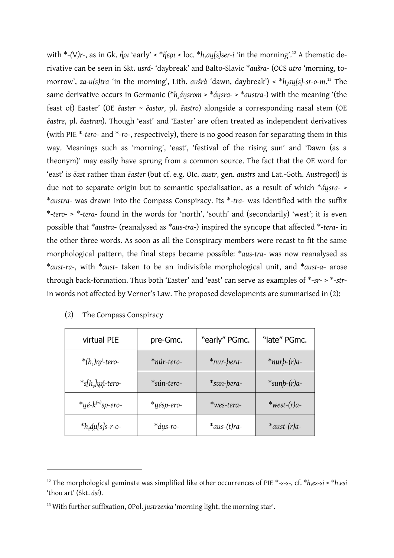with \*-(V)r-, as in Gk.  $\tilde{η}ρι$  'early' < \* $\tilde{η}ερι$  < loc. \*h<sub>2</sub>au[s]ser-i 'in the morning'.<sup>12</sup> A thematic derivative can be seen in Skt. *usrá*- 'daybreak' and Balto-Slavic \*aušra- (OCS *utro* 'morning, tomorrow', *za-u(s)tra* 'in the morning', Lith. *aušrà* 'dawn, daybreak') < \* $h_2$ au̯[s]-sr-o-m.<sup>13</sup> The same derivative occurs in Germanic (\**h<sub>1</sub>áusrom* > \**áusra*-> \**austra*-) with the meaning '(the feast of) Easter‖ (OE *ēaster* ~ *ēastor*, pl. *ēastro*) alongside a corresponding nasal stem (OE  $\bar{e}$ astre, pl.  $\bar{e}$ astran). Though 'east' and 'Easter' are often treated as independent derivatives (with PIE \*-*tero*- and \*-*ro*-, respectively), there is no good reason for separating them in this way. Meanings such as 'morning', 'east', 'festival of the rising sun' and 'Dawn (as a theonym)' may easily have sprung from a common source. The fact that the OE word for ―east‖ is *ēast* rather than *ēaster* (but cf. e.g. OIc. *austr*, gen. *austrs* and Lat.-Goth. *Austrogoti*) is due not to separate origin but to semantic specialisation, as a result of which  $*_{\text{dustra-}}$ \**austra-* was drawn into the Compass Conspiracy. Its \*-*tra*- was identified with the suffix \*-*tero-* > \*-*tera*- found in the words for 'north', 'south' and (secondarily) 'west'; it is even possible that \**austra*- (reanalysed as \**aus-tra*-) inspired the syncope that affected \*-*tera*- in the other three words. As soon as all the Conspiracy members were recast to fit the same morphological pattern, the final steps became possible: \**aus-tra*- was now reanalysed as \**aust-ra*-, with \**aust*- taken to be an indivisible morphological unit, and \**aust-a*- arose through back-formation. Thus both 'Easter' and 'east' can serve as examples of  $*$ -*sr*- >  $*$ -*str*in words not affected by Verner's Law. The proposed developments are summarised in (2):

| virtual PIE                    | pre-Gmc.   | "early" PGmc.      | "late" PGmc.           |
|--------------------------------|------------|--------------------|------------------------|
| $*(h_1)$ nŕ-tero-              | *núr-tero- | *nur-bera-         | $*$ nur $b$ - $(r)a$ - |
| $*$ s[h <sub>2</sub> ]un tero- | *sún-tero- | *sun-bera-         | $*supb-(r)a-$          |
| $*$ ųé- $k^{(w)}$ sp-ero-      | *uésp-ero- | *wes-tera-         | $*$ west- $(r)a-$      |
| $*h, \alpha$ u[s]s-r-o-        | *áus-ro-   | $*$ aus- $(t)$ ra- | $*$ aust-(r)a-         |

| (2)<br>, The Compass Conspiracy |
|---------------------------------|
|---------------------------------|

<sup>12</sup> The morphological geminate was simplified like other occurrences of PIE \*-*s-s*-, cf. \**h1es-si* > \**h1esi* ―thou art‖ (Skt. *ási*).

<sup>&</sup>lt;sup>13</sup> With further suffixation, OPol. *justrzenka* 'morning light, the morning star'.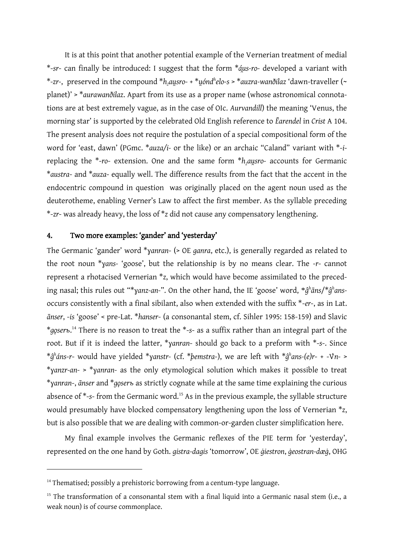It is at this point that another potential example of the Vernerian treatment of medial \*-*sr*- can finally be introduced: I suggest that the form \**áu̯s-ro-* developed a variant with \**-zr-*, preserved in the compound \**h2au̯sro-* + \**u̯ónd<sup>h</sup> elo-s* > \**auzra-wanðilaz* ―dawn-traveller (~ planet)' > \*aurawanðilaz. Apart from its use as a proper name (whose astronomical connotations are at best extremely vague, as in the case of OIc. Aurvandill) the meaning 'Venus, the morning star‖ is supported by the celebrated Old English reference to *Ēarendel* in *Crist* A 104. The present analysis does not require the postulation of a special compositional form of the word for 'east, dawn' (PGmc. \*auza/i- or the like) or an archaic "Caland" variant with \*-ireplacing the \*-*ro*- extension. One and the same form \**h*<sub>*ausro*- accounts for Germanic</sub> \**austra*- and \**auza*- equally well. The difference results from the fact that the accent in the endocentric compound in question was originally placed on the agent noun used as the deuterotheme, enabling Verner's Law to affect the first member. As the syllable preceding \*-*zr*- was already heavy, the loss of \**z* did not cause any compensatory lengthening.

### 4. Two more examples: 'gander' and 'yesterday'

The Germanic 'gander' word \*yanran- (> OE *ganra*, etc.), is generally regarded as related to the root noun \**yans-* 'goose', but the relationship is by no means clear. The -*r*- cannot represent a rhotacised Vernerian \**z*, which would have become assimilated to the preceding nasal; this rules out "\*yanz-an-". On the other hand, the IE 'goose' word, \* $\hat{g}^h$ āns/\* $\hat{g}^h$ ansoccurs consistently with a final sibilant, also when extended with the suffix \*-*er*-, as in Lat.  $\bar{a}$ nser, -*is* 'goose' < pre-Lat. \*hanser- (a consonantal stem, cf. Sihler 1995: 158-159) and Slavic \**gǫserъ*. <sup>14</sup> There is no reason to treat the \*-*s*- as a suffix rather than an integral part of the root. But if it is indeed the latter, \**ɣanran*- should go back to a preform with \*-*s*-. Since \**ĝ h áns*-*r*- would have yielded \**ɣanstr-* (cf. \**þemstra*-), we are left with \**ĝ h ans-(e)r*- + -V́*n-* > \**ɣanzr-an-* > \**ɣanran-* as the only etymological solution which makes it possible to treat \**ɣanran*-, *ānser* and \**gǫserъ* as strictly cognate while at the same time explaining the curious absence of  $*$ -s- from the Germanic word.<sup>15</sup> As in the previous example, the syllable structure would presumably have blocked compensatory lengthening upon the loss of Vernerian \**z*, but is also possible that we are dealing with common-or-garden cluster simplification here.

My final example involves the Germanic reflexes of the PIE term for 'yesterday', represented on the one hand by Goth. *gistra-dagis* 'tomorrow', OE *giestron*, *ġeostran-dæġ*, OHG

<sup>&</sup>lt;sup>14</sup> Thematised; possibly a prehistoric borrowing from a centum-type language.

 $15$  The transformation of a consonantal stem with a final liquid into a Germanic nasal stem (i.e., a weak noun) is of course commonplace.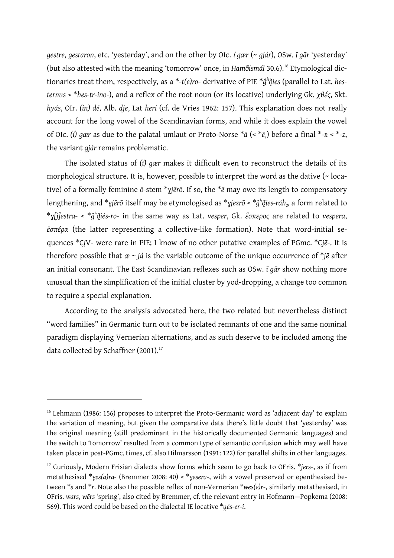*gestre*, *gestaron*, etc. 'yesterday', and on the other by OIc. *í gær* (~ *gjár*), OSw. *ī gār* 'yesterday' (but also attested with the meaning 'tomorrow' once, in *Hamõismál* 30.6).<sup>16</sup> Etymological dictionaries treat them, respectively, as a \*-*t(e)ro*- derivative of PIE \**ĝ h ði̯es* (parallel to Lat. *hesternus* < \**hes-tr-ino*-), and a reflex of the root noun (or its locative) underlying Gk. *χθές*, Skt. *hyás*, OIr. *(in) dé*, Alb. *dje*, Lat *heri* (cf. de Vries 1962: 157). This explanation does not really account for the long vowel of the Scandinavian forms, and while it does explain the vowel of OIc. *(í) gær* as due to the palatal umlaut or Proto-Norse \**ā* (< \**ē<sup>1</sup>* ) before a final \*-*ʀ* < \*-*z*, the variant *gjár* remains problematic.

The isolated status of *(í) gær* makes it difficult even to reconstruct the details of its morphological structure. It is, however, possible to interpret the word as the dative (~ locative) of a formally feminine *ō*-stem \**ɣjērō*. If so, the \**ē* may owe its length to compensatory lengthening, and \**ɣjērō* itself may be etymologised as \**ɣjezrō* < \**ĝ h ði̯es-ráh<sup>2</sup> ,* a form related to \**ɣ[j]estra-* < \**ĝ h ði̯és-ro-* in the same way as Lat. *vesper*, Gk. *ἕσπερος* are related to *vespera*, *ἑσπέρα* (the latter representing a collective-like formation). Note that word-initial sequences \*C*i*V*̯* - were rare in PIE; I know of no other putative examples of PGmc. \*C*jē*-. It is therefore possible that  $\alpha \sim j\acute{a}$  is the variable outcome of the unique occurrence of \**j* $\bar{e}$  after an initial consonant. The East Scandinavian reflexes such as OSw. *ī gār* show nothing more unusual than the simplification of the initial cluster by yod-dropping, a change too common to require a special explanation.

According to the analysis advocated here, the two related but nevertheless distinct "word families" in Germanic turn out to be isolated remnants of one and the same nominal paradigm displaying Vernerian alternations, and as such deserve to be included among the data collected by Schaffner (2001).<sup>17</sup>

 $16$  Lehmann (1986: 156) proposes to interpret the Proto-Germanic word as 'adjacent day' to explain the variation of meaning, but given the comparative data there's little doubt that 'yesterday' was the original meaning (still predominant in the historically documented Germanic languages) and the switch to 'tomorrow' resulted from a common type of semantic confusion which may well have taken place in post-PGmc. times, cf. also Hilmarsson (1991: 122) for parallel shifts in other languages.

<sup>17</sup> Curiously, Modern Frisian dialects show forms which seem to go back to OFris. \**jers*-, as if from metathesised \**ɣes(a)ra-* (Bremmer 2008: 40) < \**ɣesera-*, with a vowel preserved or epenthesised between \**s* and \**r*. Note also the possible reflex of non-Vernerian \**wes(e)r-*, similarly metathesised, in OFris. wars, wērs 'spring', also cited by Bremmer, cf. the relevant entry in Hofmann-Popkema (2008: 569). This word could be based on the dialectal IE locative \**u̯és-er-i*.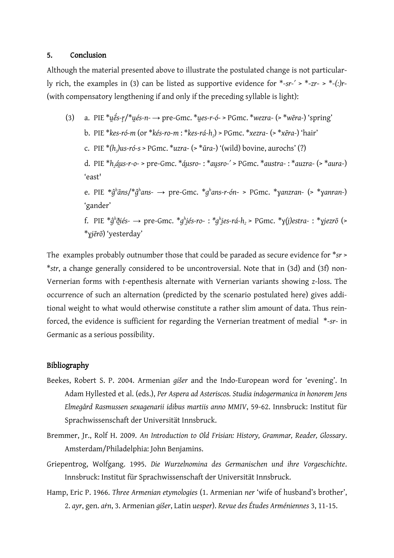#### 5. Conclusion

Although the material presented above to illustrate the postulated change is not particularly rich, the examples in (3) can be listed as supportive evidence for \*-*sr-ʹ* > \*-*zr*- > \*-*(ː)r*- (with compensatory lengthening if and only if the preceding syllable is light):

(3) a. PIE  $*\mu \acute{\epsilon} s$ - $r$ / $*\mu \acute{\epsilon} s$ -n- $\rightarrow$  pre-Gmc.  $*\mu e s$ -r- $\acute{\epsilon}$ -> PGmc.  $*\mu e s$ -ra- $(*)$  'spring' b. PIE \**kes-ró-m* (or \**kés-ro*-*m* : \**kes-rá-h<sup>2</sup>* ) > PGmc. \**xezra*- (> \**xēra-*) ―hair‖ c. PIE \**(h<sup>2</sup> )us-ró-s* > PGmc. \**uzra*- (> \**ūra*-) ―(wild) bovine, aurochs‖ (?) d. PIE \**h2áu̯s-r-o-* > pre-Gmc. \**áu̯sro*- : \**au̯sro-ʹ* > PGmc. \**austra*- : \**auzra*- (> \**aura*-) 'east' e. PIE \**ĝ h āns*/\**ĝ h ans-* → pre-Gmc. \**g h ans-r-ón*- > PGmc. \**ɣanzran-* (> \**ɣanran-*) 'gander' f. PIE \*ĝʰð̯iés- → pre-Gmc. \*gʰiés-ro- : \*gʰies-rá-h $_2$ > PGmc. \*y(j)estra- : \*yjezrō (> \**ɣjērō*) ―yesterday‖

The examples probably outnumber those that could be paraded as secure evidence for \**sr* > \**str*, a change generally considered to be uncontroversial. Note that in (3d) and (3f) non-Vernerian forms with *t*-epenthesis alternate with Vernerian variants showing *z*-loss. The occurrence of such an alternation (predicted by the scenario postulated here) gives additional weight to what would otherwise constitute a rather slim amount of data. Thus reinforced, the evidence is sufficient for regarding the Vernerian treatment of medial \*-*sr*- in Germanic as a serious possibility.

#### Bibliography

- Beekes, Robert S. P. 2004. Armenian *gišer* and the Indo-European word for 'evening'. In Adam Hyllested et al. (eds.), *Per Aspera ad Asteriscos. Studia indogermanica in honorem Jens Elmegård Rasmussen sexagenarii idibus martiis anno MMIV*, 59-62. Innsbruck: Institut für Sprachwissenschaft der Universität Innsbruck.
- Bremmer, Jr., Rolf H. 2009. *An Introduction to Old Frisian: History, Grammar, Reader, Glossary*. Amsterdam/Philadelphia: John Benjamins.
- Griepentrog, Wolfgang. 1995. *Die Wurzelnomina des Germanischen und ihre Vorgeschichte*. Innsbruck: Institut für Sprachwissenschaft der Universität Innsbruck.
- Hamp, Eric P. 1966. *Three Armenian etymologies* (1. Armenian *ner* 'wife of husband's brother', 2. *ayr*, gen. *aṙn*, 3. Armenian *gišer*, Latin *uesper*). *Revue des Études Arméniennes* 3, 11-15.